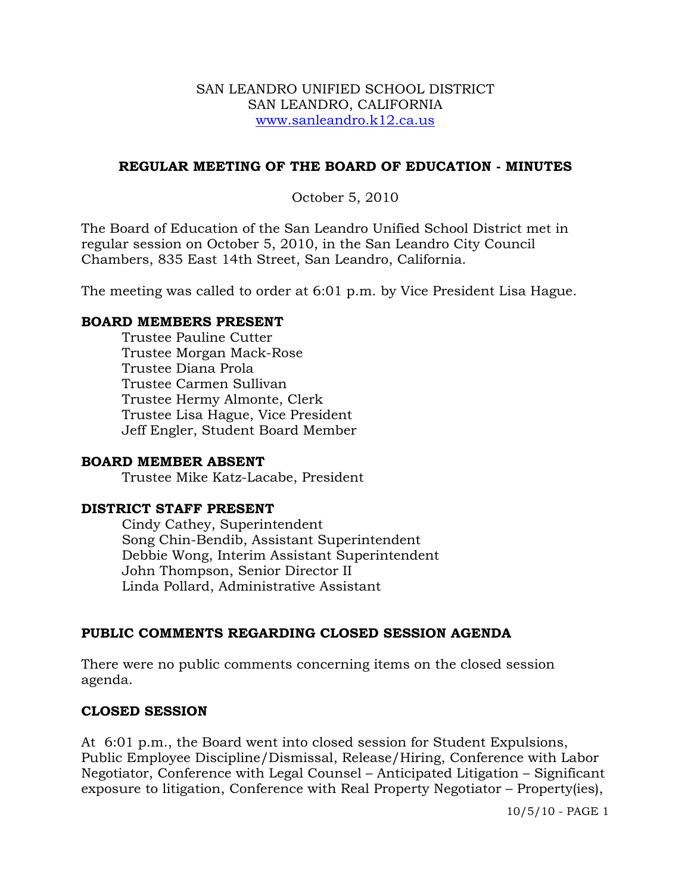#### SAN LEANDRO UNIFIED SCHOOL DISTRICT SAN LEANDRO, CALIFORNIA www.sanleandro.k12.ca.us

## **REGULAR MEETING OF THE BOARD OF EDUCATION - MINUTES**

October 5, 2010

The Board of Education of the San Leandro Unified School District met in regular session on October 5, 2010, in the San Leandro City Council Chambers, 835 East 14th Street, San Leandro, California.

The meeting was called to order at 6:01 p.m. by Vice President Lisa Hague.

### **BOARD MEMBERS PRESENT**

Trustee Pauline Cutter Trustee Morgan Mack-Rose Trustee Diana Prola Trustee Carmen Sullivan Trustee Hermy Almonte, Clerk Trustee Lisa Hague, Vice President Jeff Engler, Student Board Member

## **BOARD MEMBER ABSENT**

Trustee Mike Katz-Lacabe, President

## **DISTRICT STAFF PRESENT**

Cindy Cathey, Superintendent Song Chin-Bendib, Assistant Superintendent Debbie Wong, Interim Assistant Superintendent John Thompson, Senior Director II Linda Pollard, Administrative Assistant

## **PUBLIC COMMENTS REGARDING CLOSED SESSION AGENDA**

There were no public comments concerning items on the closed session agenda.

#### **CLOSED SESSION**

At 6:01 p.m., the Board went into closed session for Student Expulsions, Public Employee Discipline/Dismissal, Release/Hiring, Conference with Labor Negotiator, Conference with Legal Counsel – Anticipated Litigation – Significant exposure to litigation, Conference with Real Property Negotiator – Property(ies),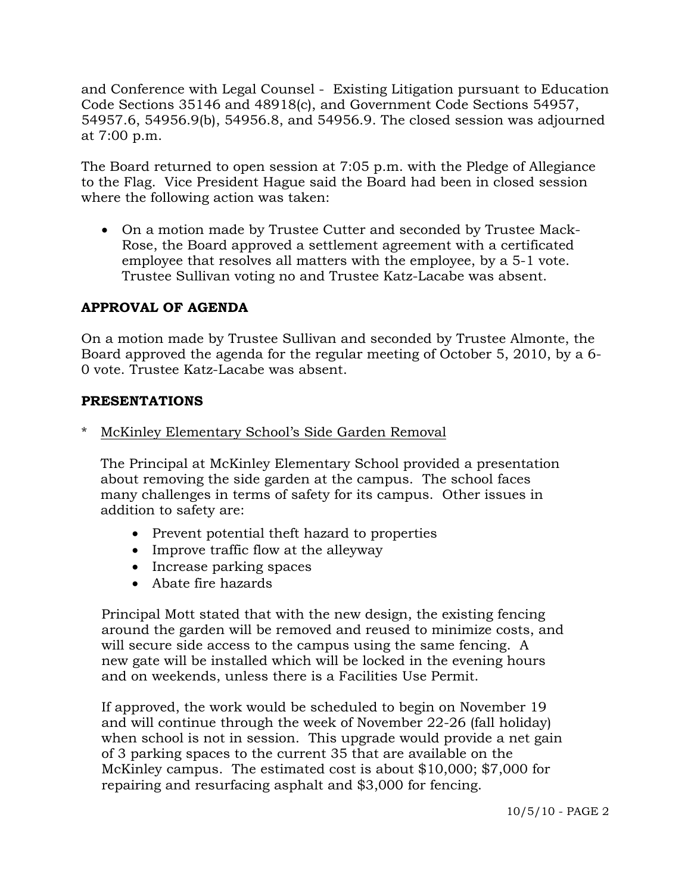and Conference with Legal Counsel - Existing Litigation pursuant to Education Code Sections 35146 and 48918(c), and Government Code Sections 54957, 54957.6, 54956.9(b), 54956.8, and 54956.9. The closed session was adjourned at 7:00 p.m.

The Board returned to open session at 7:05 p.m. with the Pledge of Allegiance to the Flag. Vice President Hague said the Board had been in closed session where the following action was taken:

 On a motion made by Trustee Cutter and seconded by Trustee Mack-Rose, the Board approved a settlement agreement with a certificated employee that resolves all matters with the employee, by a 5-1 vote. Trustee Sullivan voting no and Trustee Katz-Lacabe was absent.

# **APPROVAL OF AGENDA**

On a motion made by Trustee Sullivan and seconded by Trustee Almonte, the Board approved the agenda for the regular meeting of October 5, 2010, by a 6- 0 vote. Trustee Katz-Lacabe was absent.

### **PRESENTATIONS**

McKinley Elementary School's Side Garden Removal

 The Principal at McKinley Elementary School provided a presentation about removing the side garden at the campus. The school faces many challenges in terms of safety for its campus. Other issues in addition to safety are:

- Prevent potential theft hazard to properties
- Improve traffic flow at the alleyway
- Increase parking spaces
- Abate fire hazards

 Principal Mott stated that with the new design, the existing fencing around the garden will be removed and reused to minimize costs, and will secure side access to the campus using the same fencing. A new gate will be installed which will be locked in the evening hours and on weekends, unless there is a Facilities Use Permit.

 If approved, the work would be scheduled to begin on November 19 and will continue through the week of November 22-26 (fall holiday) when school is not in session. This upgrade would provide a net gain of 3 parking spaces to the current 35 that are available on the McKinley campus. The estimated cost is about \$10,000; \$7,000 for repairing and resurfacing asphalt and \$3,000 for fencing.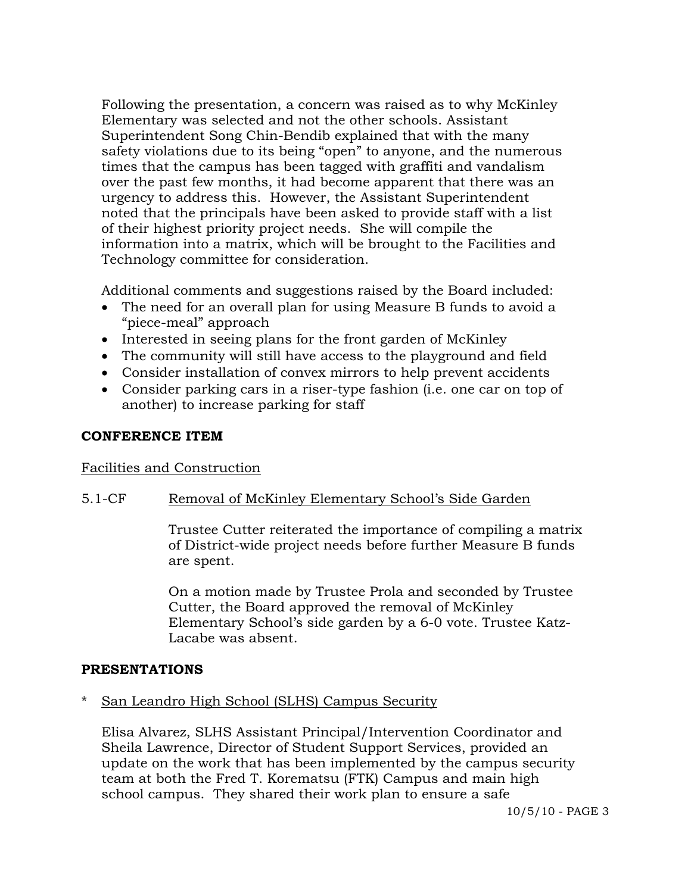Following the presentation, a concern was raised as to why McKinley Elementary was selected and not the other schools. Assistant Superintendent Song Chin-Bendib explained that with the many safety violations due to its being "open" to anyone, and the numerous times that the campus has been tagged with graffiti and vandalism over the past few months, it had become apparent that there was an urgency to address this. However, the Assistant Superintendent noted that the principals have been asked to provide staff with a list of their highest priority project needs. She will compile the information into a matrix, which will be brought to the Facilities and Technology committee for consideration.

Additional comments and suggestions raised by the Board included:

- The need for an overall plan for using Measure B funds to avoid a "piece-meal" approach
- Interested in seeing plans for the front garden of McKinley
- The community will still have access to the playground and field
- Consider installation of convex mirrors to help prevent accidents
- Consider parking cars in a riser-type fashion (i.e. one car on top of another) to increase parking for staff

## **CONFERENCE ITEM**

#### Facilities and Construction

## 5.1-CF Removal of McKinley Elementary School's Side Garden

Trustee Cutter reiterated the importance of compiling a matrix of District-wide project needs before further Measure B funds are spent.

On a motion made by Trustee Prola and seconded by Trustee Cutter, the Board approved the removal of McKinley Elementary School's side garden by a 6-0 vote. Trustee Katz-Lacabe was absent.

## **PRESENTATIONS**

San Leandro High School (SLHS) Campus Security

 Elisa Alvarez, SLHS Assistant Principal/Intervention Coordinator and Sheila Lawrence, Director of Student Support Services, provided an update on the work that has been implemented by the campus security team at both the Fred T. Korematsu (FTK) Campus and main high school campus. They shared their work plan to ensure a safe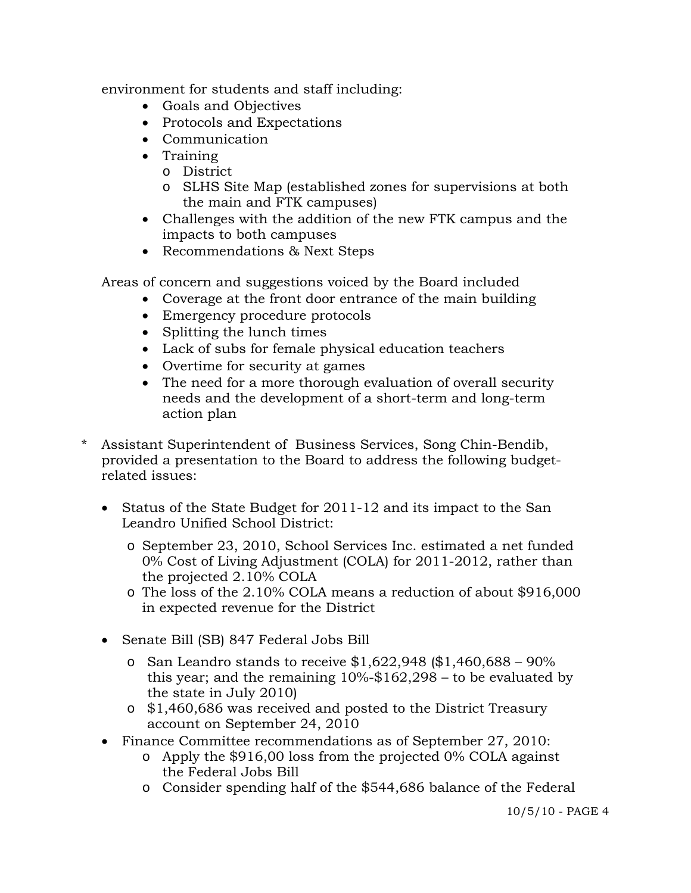environment for students and staff including:

- Goals and Objectives
- Protocols and Expectations
- Communication
- Training
	- o District
	- o SLHS Site Map (established zones for supervisions at both the main and FTK campuses)
- Challenges with the addition of the new FTK campus and the impacts to both campuses
- Recommendations & Next Steps

Areas of concern and suggestions voiced by the Board included

- Coverage at the front door entrance of the main building
- Emergency procedure protocols
- Splitting the lunch times
- Lack of subs for female physical education teachers
- Overtime for security at games
- The need for a more thorough evaluation of overall security needs and the development of a short-term and long-term action plan
- Assistant Superintendent of Business Services, Song Chin-Bendib, provided a presentation to the Board to address the following budgetrelated issues:
	- Status of the State Budget for 2011-12 and its impact to the San Leandro Unified School District:
		- o September 23, 2010, School Services Inc. estimated a net funded 0% Cost of Living Adjustment (COLA) for 2011-2012, rather than the projected 2.10% COLA
		- o The loss of the 2.10% COLA means a reduction of about \$916,000 in expected revenue for the District
	- Senate Bill (SB) 847 Federal Jobs Bill
		- o San Leandro stands to receive  $$1,622,948$  ( $$1,460,688 90\%$ ) this year; and the remaining  $10\% - $162,298 -$  to be evaluated by the state in July 2010)
		- o \$1,460,686 was received and posted to the District Treasury account on September 24, 2010
	- Finance Committee recommendations as of September 27, 2010:
		- o Apply the \$916,00 loss from the projected 0% COLA against the Federal Jobs Bill
		- o Consider spending half of the \$544,686 balance of the Federal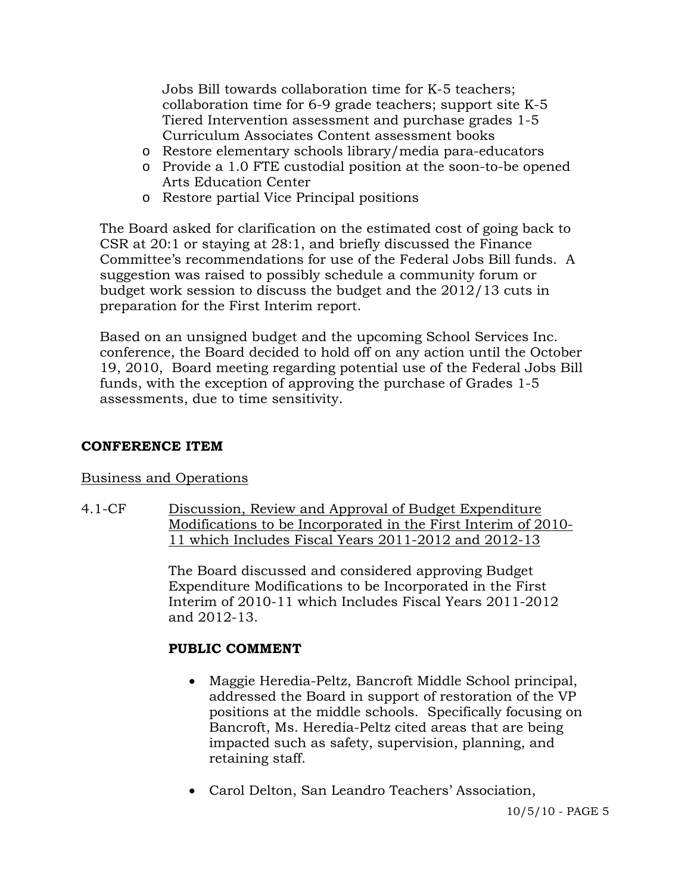Jobs Bill towards collaboration time for K-5 teachers; collaboration time for 6-9 grade teachers; support site K-5 Tiered Intervention assessment and purchase grades 1-5 Curriculum Associates Content assessment books

- o Restore elementary schools library/media para-educators
- o Provide a 1.0 FTE custodial position at the soon-to-be opened Arts Education Center
- o Restore partial Vice Principal positions

 The Board asked for clarification on the estimated cost of going back to CSR at 20:1 or staying at 28:1, and briefly discussed the Finance Committee's recommendations for use of the Federal Jobs Bill funds. A suggestion was raised to possibly schedule a community forum or budget work session to discuss the budget and the 2012/13 cuts in preparation for the First Interim report.

 Based on an unsigned budget and the upcoming School Services Inc. conference, the Board decided to hold off on any action until the October 19, 2010, Board meeting regarding potential use of the Federal Jobs Bill funds, with the exception of approving the purchase of Grades 1-5 assessments, due to time sensitivity.

# **CONFERENCE ITEM**

## Business and Operations

4.1-CF Discussion, Review and Approval of Budget Expenditure Modifications to be Incorporated in the First Interim of 2010- 11 which Includes Fiscal Years 2011-2012 and 2012-13

> The Board discussed and considered approving Budget Expenditure Modifications to be Incorporated in the First Interim of 2010-11 which Includes Fiscal Years 2011-2012 and 2012-13.

# **PUBLIC COMMENT**

- Maggie Heredia-Peltz, Bancroft Middle School principal, addressed the Board in support of restoration of the VP positions at the middle schools. Specifically focusing on Bancroft, Ms. Heredia-Peltz cited areas that are being impacted such as safety, supervision, planning, and retaining staff.
- Carol Delton, San Leandro Teachers' Association,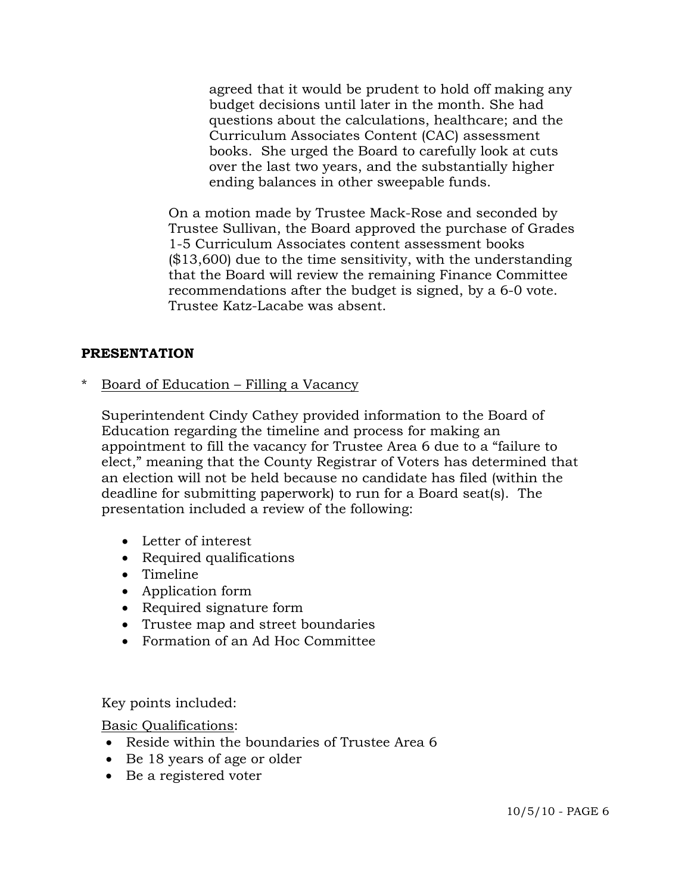agreed that it would be prudent to hold off making any budget decisions until later in the month. She had questions about the calculations, healthcare; and the Curriculum Associates Content (CAC) assessment books. She urged the Board to carefully look at cuts over the last two years, and the substantially higher ending balances in other sweepable funds.

On a motion made by Trustee Mack-Rose and seconded by Trustee Sullivan, the Board approved the purchase of Grades 1-5 Curriculum Associates content assessment books (\$13,600) due to the time sensitivity, with the understanding that the Board will review the remaining Finance Committee recommendations after the budget is signed, by a 6-0 vote. Trustee Katz-Lacabe was absent.

### **PRESENTATION**

Board of Education – Filling a Vacancy

 Superintendent Cindy Cathey provided information to the Board of Education regarding the timeline and process for making an appointment to fill the vacancy for Trustee Area 6 due to a "failure to elect," meaning that the County Registrar of Voters has determined that an election will not be held because no candidate has filed (within the deadline for submitting paperwork) to run for a Board seat(s). The presentation included a review of the following:

- Letter of interest
- Required qualifications
- Timeline
- Application form
- Required signature form
- Trustee map and street boundaries
- Formation of an Ad Hoc Committee

Key points included:

Basic Qualifications:

- Reside within the boundaries of Trustee Area 6
- Be 18 years of age or older
- Be a registered voter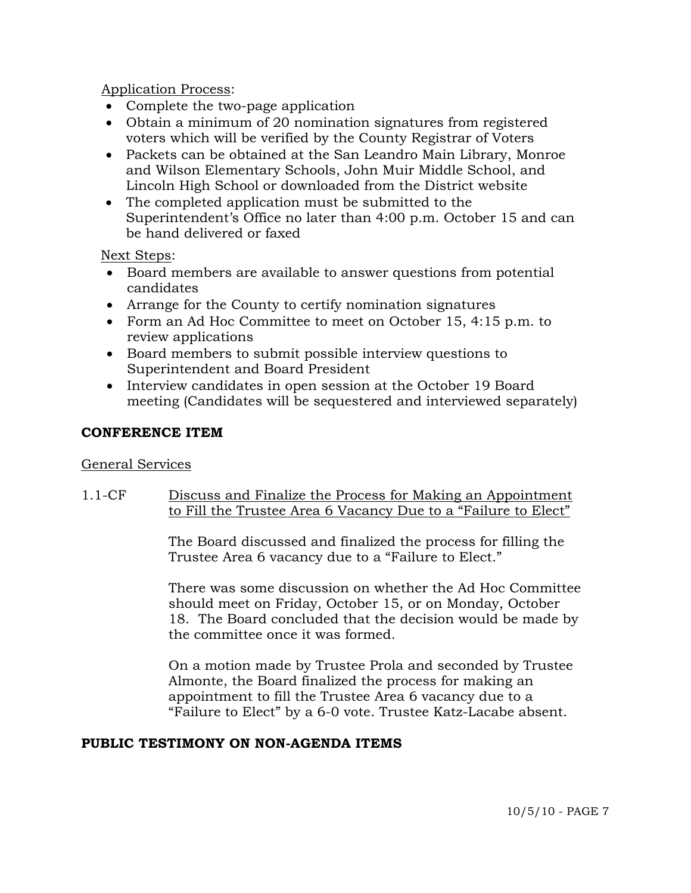Application Process:

- Complete the two-page application
- Obtain a minimum of 20 nomination signatures from registered voters which will be verified by the County Registrar of Voters
- Packets can be obtained at the San Leandro Main Library, Monroe and Wilson Elementary Schools, John Muir Middle School, and Lincoln High School or downloaded from the District website
- The completed application must be submitted to the Superintendent's Office no later than 4:00 p.m. October 15 and can be hand delivered or faxed

Next Steps:

- Board members are available to answer questions from potential candidates
- Arrange for the County to certify nomination signatures
- Form an Ad Hoc Committee to meet on October 15, 4:15 p.m. to review applications
- Board members to submit possible interview questions to Superintendent and Board President
- Interview candidates in open session at the October 19 Board meeting (Candidates will be sequestered and interviewed separately)

## **CONFERENCE ITEM**

## General Services

## 1.1-CF Discuss and Finalize the Process for Making an Appointment to Fill the Trustee Area 6 Vacancy Due to a "Failure to Elect"

The Board discussed and finalized the process for filling the Trustee Area 6 vacancy due to a "Failure to Elect."

There was some discussion on whether the Ad Hoc Committee should meet on Friday, October 15, or on Monday, October 18. The Board concluded that the decision would be made by the committee once it was formed.

On a motion made by Trustee Prola and seconded by Trustee Almonte, the Board finalized the process for making an appointment to fill the Trustee Area 6 vacancy due to a "Failure to Elect" by a 6-0 vote. Trustee Katz-Lacabe absent.

## **PUBLIC TESTIMONY ON NON-AGENDA ITEMS**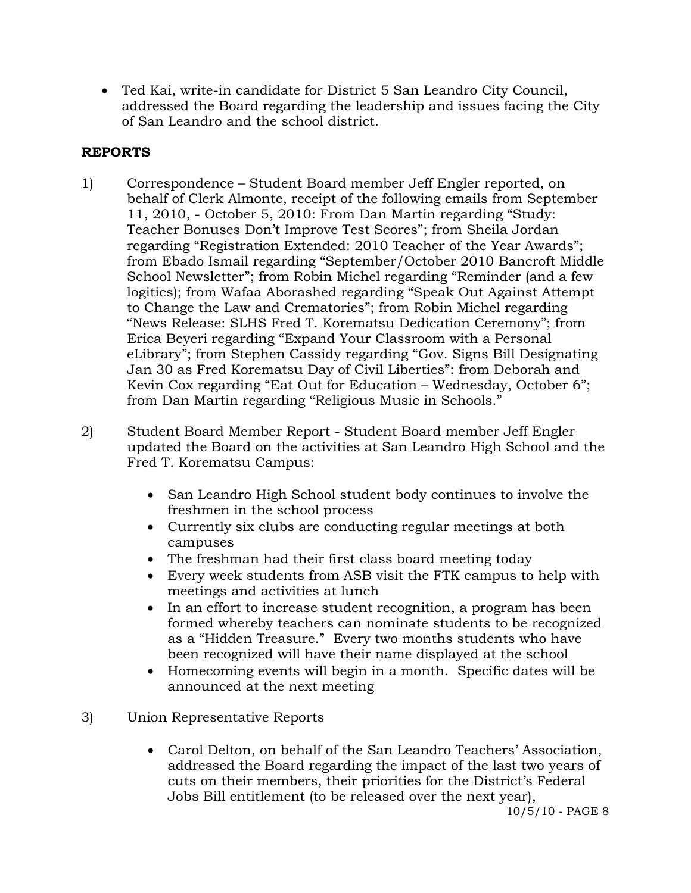Ted Kai, write-in candidate for District 5 San Leandro City Council, addressed the Board regarding the leadership and issues facing the City of San Leandro and the school district.

# **REPORTS**

- 1) Correspondence Student Board member Jeff Engler reported, on behalf of Clerk Almonte, receipt of the following emails from September 11, 2010, - October 5, 2010: From Dan Martin regarding "Study: Teacher Bonuses Don't Improve Test Scores"; from Sheila Jordan regarding "Registration Extended: 2010 Teacher of the Year Awards"; from Ebado Ismail regarding "September/October 2010 Bancroft Middle School Newsletter"; from Robin Michel regarding "Reminder (and a few logitics); from Wafaa Aborashed regarding "Speak Out Against Attempt to Change the Law and Crematories"; from Robin Michel regarding "News Release: SLHS Fred T. Korematsu Dedication Ceremony"; from Erica Beyeri regarding "Expand Your Classroom with a Personal eLibrary"; from Stephen Cassidy regarding "Gov. Signs Bill Designating Jan 30 as Fred Korematsu Day of Civil Liberties": from Deborah and Kevin Cox regarding "Eat Out for Education – Wednesday, October 6"; from Dan Martin regarding "Religious Music in Schools."
- 2) Student Board Member Report Student Board member Jeff Engler updated the Board on the activities at San Leandro High School and the Fred T. Korematsu Campus:
	- San Leandro High School student body continues to involve the freshmen in the school process
	- Currently six clubs are conducting regular meetings at both campuses
	- The freshman had their first class board meeting today
	- Every week students from ASB visit the FTK campus to help with meetings and activities at lunch
	- In an effort to increase student recognition, a program has been formed whereby teachers can nominate students to be recognized as a "Hidden Treasure." Every two months students who have been recognized will have their name displayed at the school
	- Homecoming events will begin in a month. Specific dates will be announced at the next meeting
- 3) Union Representative Reports
	- Carol Delton, on behalf of the San Leandro Teachers' Association, addressed the Board regarding the impact of the last two years of cuts on their members, their priorities for the District's Federal Jobs Bill entitlement (to be released over the next year),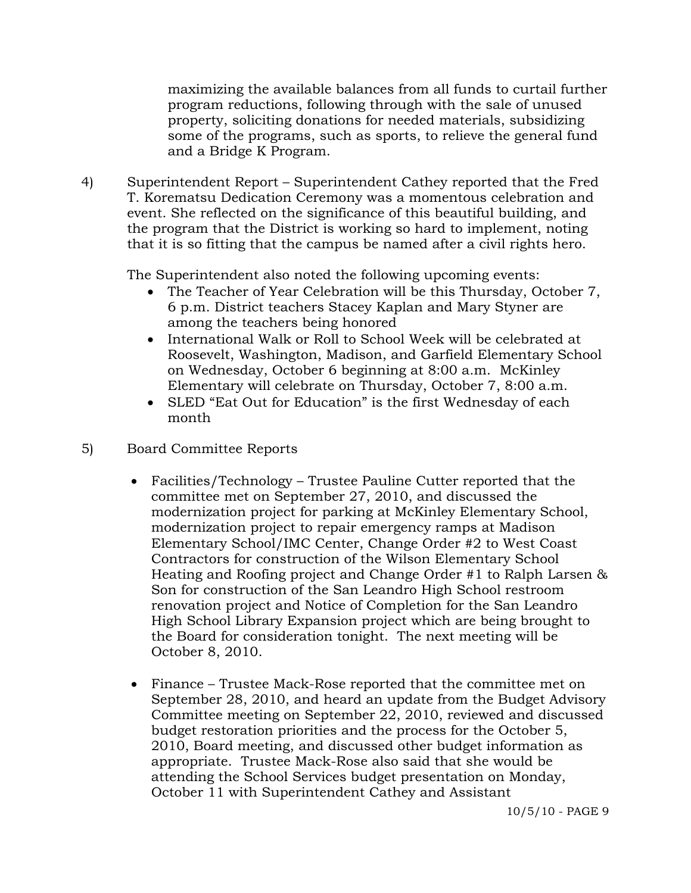maximizing the available balances from all funds to curtail further program reductions, following through with the sale of unused property, soliciting donations for needed materials, subsidizing some of the programs, such as sports, to relieve the general fund and a Bridge K Program.

4) Superintendent Report – Superintendent Cathey reported that the Fred T. Korematsu Dedication Ceremony was a momentous celebration and event. She reflected on the significance of this beautiful building, and the program that the District is working so hard to implement, noting that it is so fitting that the campus be named after a civil rights hero.

The Superintendent also noted the following upcoming events:

- The Teacher of Year Celebration will be this Thursday, October 7, 6 p.m. District teachers Stacey Kaplan and Mary Styner are among the teachers being honored
- International Walk or Roll to School Week will be celebrated at Roosevelt, Washington, Madison, and Garfield Elementary School on Wednesday, October 6 beginning at 8:00 a.m. McKinley Elementary will celebrate on Thursday, October 7, 8:00 a.m.
- SLED "Eat Out for Education" is the first Wednesday of each month

# 5) Board Committee Reports

- Facilities/Technology Trustee Pauline Cutter reported that the committee met on September 27, 2010, and discussed the modernization project for parking at McKinley Elementary School, modernization project to repair emergency ramps at Madison Elementary School/IMC Center, Change Order #2 to West Coast Contractors for construction of the Wilson Elementary School Heating and Roofing project and Change Order #1 to Ralph Larsen & Son for construction of the San Leandro High School restroom renovation project and Notice of Completion for the San Leandro High School Library Expansion project which are being brought to the Board for consideration tonight. The next meeting will be October 8, 2010.
- Finance Trustee Mack-Rose reported that the committee met on September 28, 2010, and heard an update from the Budget Advisory Committee meeting on September 22, 2010, reviewed and discussed budget restoration priorities and the process for the October 5, 2010, Board meeting, and discussed other budget information as appropriate. Trustee Mack-Rose also said that she would be attending the School Services budget presentation on Monday, October 11 with Superintendent Cathey and Assistant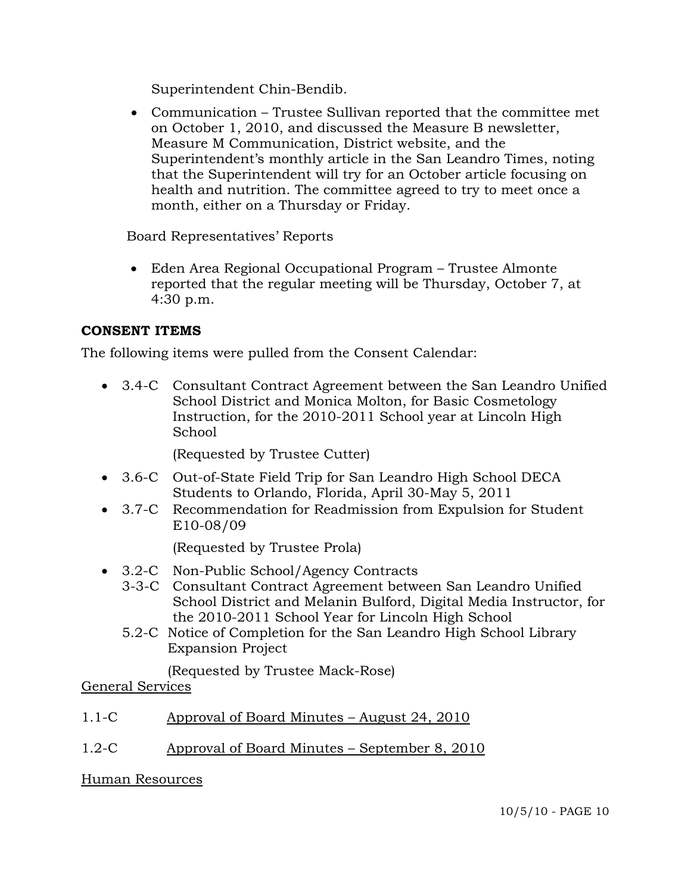Superintendent Chin-Bendib.

 Communication – Trustee Sullivan reported that the committee met on October 1, 2010, and discussed the Measure B newsletter, Measure M Communication, District website, and the Superintendent's monthly article in the San Leandro Times, noting that the Superintendent will try for an October article focusing on health and nutrition. The committee agreed to try to meet once a month, either on a Thursday or Friday.

Board Representatives' Reports

 Eden Area Regional Occupational Program – Trustee Almonte reported that the regular meeting will be Thursday, October 7, at 4:30 p.m.

# **CONSENT ITEMS**

The following items were pulled from the Consent Calendar:

 3.4-C Consultant Contract Agreement between the San Leandro Unified School District and Monica Molton, for Basic Cosmetology Instruction, for the 2010-2011 School year at Lincoln High School

(Requested by Trustee Cutter)

- 3.6-C Out-of-State Field Trip for San Leandro High School DECA Students to Orlando, Florida, April 30-May 5, 2011
- 3.7-C Recommendation for Readmission from Expulsion for Student E10-08/09

(Requested by Trustee Prola)

- 3.2-C Non-Public School/Agency Contracts
	- 3-3-C Consultant Contract Agreement between San Leandro Unified School District and Melanin Bulford, Digital Media Instructor, for the 2010-2011 School Year for Lincoln High School
	- 5.2-C Notice of Completion for the San Leandro High School Library Expansion Project

(Requested by Trustee Mack-Rose)

General Services

# 1.1-C Approval of Board Minutes – August 24, 2010

1.2-C Approval of Board Minutes – September 8, 2010

Human Resources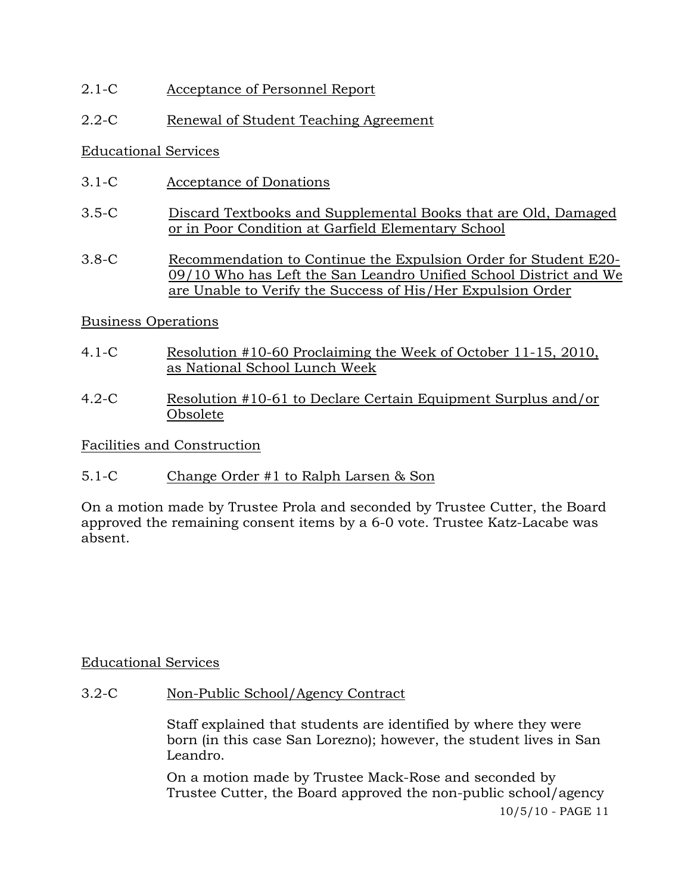2.1-C Acceptance of Personnel Report

# 2.2-C Renewal of Student Teaching Agreement

### Educational Services

- 3.1-C Acceptance of Donations
- 3.5-C Discard Textbooks and Supplemental Books that are Old, Damaged or in Poor Condition at Garfield Elementary School
- 3.8-C Recommendation to Continue the Expulsion Order for Student E20- 09/10 Who has Left the San Leandro Unified School District and We are Unable to Verify the Success of His/Her Expulsion Order

## Business Operations

- 4.1-C Resolution #10-60 Proclaiming the Week of October 11-15, 2010, as National School Lunch Week
- 4.2-C Resolution #10-61 to Declare Certain Equipment Surplus and/or Obsolete

## Facilities and Construction

5.1-C Change Order #1 to Ralph Larsen & Son

On a motion made by Trustee Prola and seconded by Trustee Cutter, the Board approved the remaining consent items by a 6-0 vote. Trustee Katz-Lacabe was absent.

## Educational Services

3.2-C Non-Public School/Agency Contract

Staff explained that students are identified by where they were born (in this case San Lorezno); however, the student lives in San Leandro.

10/5/10 - PAGE 11 On a motion made by Trustee Mack-Rose and seconded by Trustee Cutter, the Board approved the non-public school/agency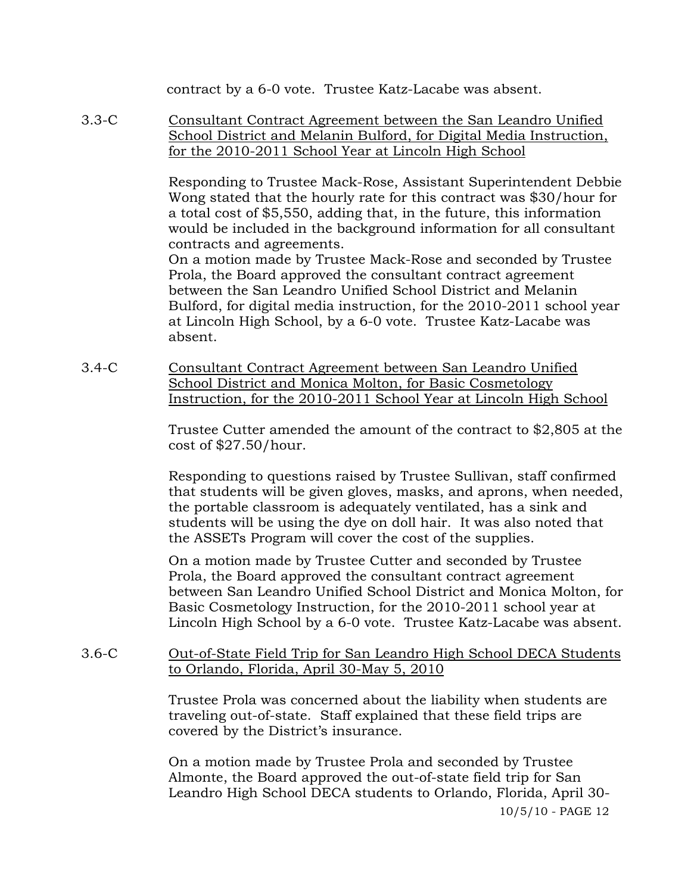contract by a 6-0 vote. Trustee Katz-Lacabe was absent.

3.3-C Consultant Contract Agreement between the San Leandro Unified School District and Melanin Bulford, for Digital Media Instruction, for the 2010-2011 School Year at Lincoln High School

> Responding to Trustee Mack-Rose, Assistant Superintendent Debbie Wong stated that the hourly rate for this contract was \$30/hour for a total cost of \$5,550, adding that, in the future, this information would be included in the background information for all consultant contracts and agreements.

> On a motion made by Trustee Mack-Rose and seconded by Trustee Prola, the Board approved the consultant contract agreement between the San Leandro Unified School District and Melanin Bulford, for digital media instruction, for the 2010-2011 school year at Lincoln High School, by a 6-0 vote. Trustee Katz-Lacabe was absent.

3.4-C Consultant Contract Agreement between San Leandro Unified School District and Monica Molton, for Basic Cosmetology Instruction, for the 2010-2011 School Year at Lincoln High School

> Trustee Cutter amended the amount of the contract to \$2,805 at the cost of \$27.50/hour.

> Responding to questions raised by Trustee Sullivan, staff confirmed that students will be given gloves, masks, and aprons, when needed, the portable classroom is adequately ventilated, has a sink and students will be using the dye on doll hair. It was also noted that the ASSETs Program will cover the cost of the supplies.

> On a motion made by Trustee Cutter and seconded by Trustee Prola, the Board approved the consultant contract agreement between San Leandro Unified School District and Monica Molton, for Basic Cosmetology Instruction, for the 2010-2011 school year at Lincoln High School by a 6-0 vote. Trustee Katz-Lacabe was absent.

3.6-C Out-of-State Field Trip for San Leandro High School DECA Students to Orlando, Florida, April 30-May 5, 2010

> Trustee Prola was concerned about the liability when students are traveling out-of-state. Staff explained that these field trips are covered by the District's insurance.

> 10/5/10 - PAGE 12 On a motion made by Trustee Prola and seconded by Trustee Almonte, the Board approved the out-of-state field trip for San Leandro High School DECA students to Orlando, Florida, April 30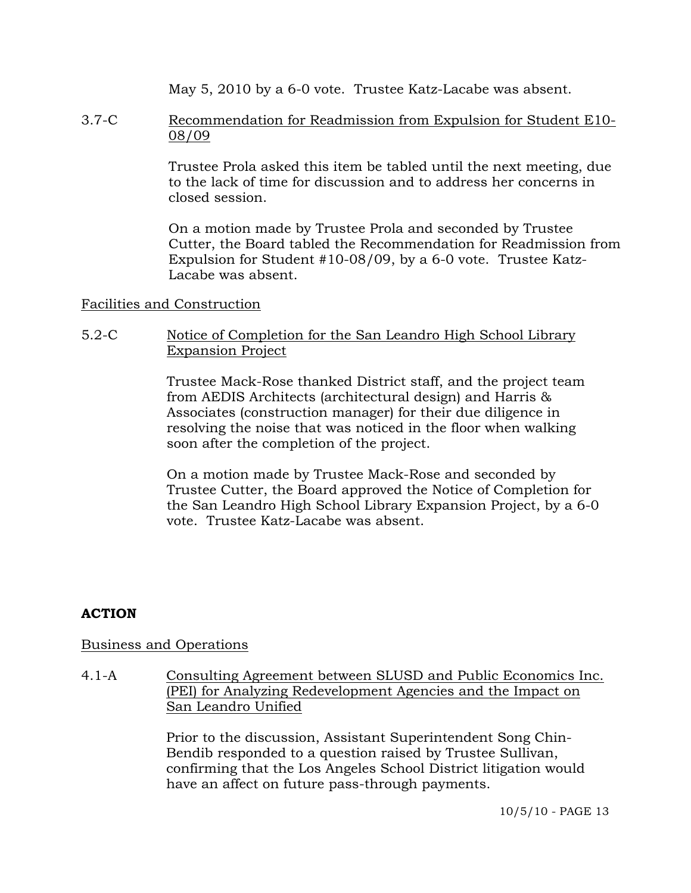May 5, 2010 by a 6-0 vote. Trustee Katz-Lacabe was absent.

## 3.7-C Recommendation for Readmission from Expulsion for Student E10- 08/09

Trustee Prola asked this item be tabled until the next meeting, due to the lack of time for discussion and to address her concerns in closed session.

On a motion made by Trustee Prola and seconded by Trustee Cutter, the Board tabled the Recommendation for Readmission from Expulsion for Student #10-08/09, by a 6-0 vote. Trustee Katz-Lacabe was absent.

### Facilities and Construction

## 5.2-C Notice of Completion for the San Leandro High School Library Expansion Project

Trustee Mack-Rose thanked District staff, and the project team from AEDIS Architects (architectural design) and Harris & Associates (construction manager) for their due diligence in resolving the noise that was noticed in the floor when walking soon after the completion of the project.

On a motion made by Trustee Mack-Rose and seconded by Trustee Cutter, the Board approved the Notice of Completion for the San Leandro High School Library Expansion Project, by a 6-0 vote. Trustee Katz-Lacabe was absent.

# **ACTION**

## Business and Operations

4.1-A Consulting Agreement between SLUSD and Public Economics Inc. (PEI) for Analyzing Redevelopment Agencies and the Impact on San Leandro Unified

> Prior to the discussion, Assistant Superintendent Song Chin-Bendib responded to a question raised by Trustee Sullivan, confirming that the Los Angeles School District litigation would have an affect on future pass-through payments.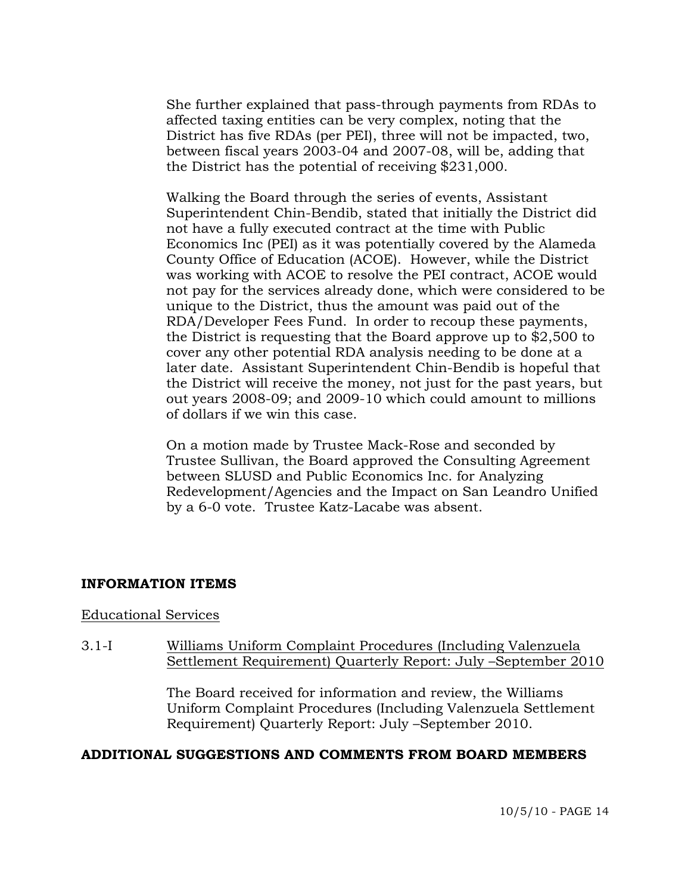She further explained that pass-through payments from RDAs to affected taxing entities can be very complex, noting that the District has five RDAs (per PEI), three will not be impacted, two, between fiscal years 2003-04 and 2007-08, will be, adding that the District has the potential of receiving \$231,000.

Walking the Board through the series of events, Assistant Superintendent Chin-Bendib, stated that initially the District did not have a fully executed contract at the time with Public Economics Inc (PEI) as it was potentially covered by the Alameda County Office of Education (ACOE). However, while the District was working with ACOE to resolve the PEI contract, ACOE would not pay for the services already done, which were considered to be unique to the District, thus the amount was paid out of the RDA/Developer Fees Fund. In order to recoup these payments, the District is requesting that the Board approve up to \$2,500 to cover any other potential RDA analysis needing to be done at a later date. Assistant Superintendent Chin-Bendib is hopeful that the District will receive the money, not just for the past years, but out years 2008-09; and 2009-10 which could amount to millions of dollars if we win this case.

On a motion made by Trustee Mack-Rose and seconded by Trustee Sullivan, the Board approved the Consulting Agreement between SLUSD and Public Economics Inc. for Analyzing Redevelopment/Agencies and the Impact on San Leandro Unified by a 6-0 vote. Trustee Katz-Lacabe was absent.

#### **INFORMATION ITEMS**

#### Educational Services

3.1-I Williams Uniform Complaint Procedures (Including Valenzuela Settlement Requirement) Quarterly Report: July –September 2010

> The Board received for information and review, the Williams Uniform Complaint Procedures (Including Valenzuela Settlement Requirement) Quarterly Report: July –September 2010.

#### **ADDITIONAL SUGGESTIONS AND COMMENTS FROM BOARD MEMBERS**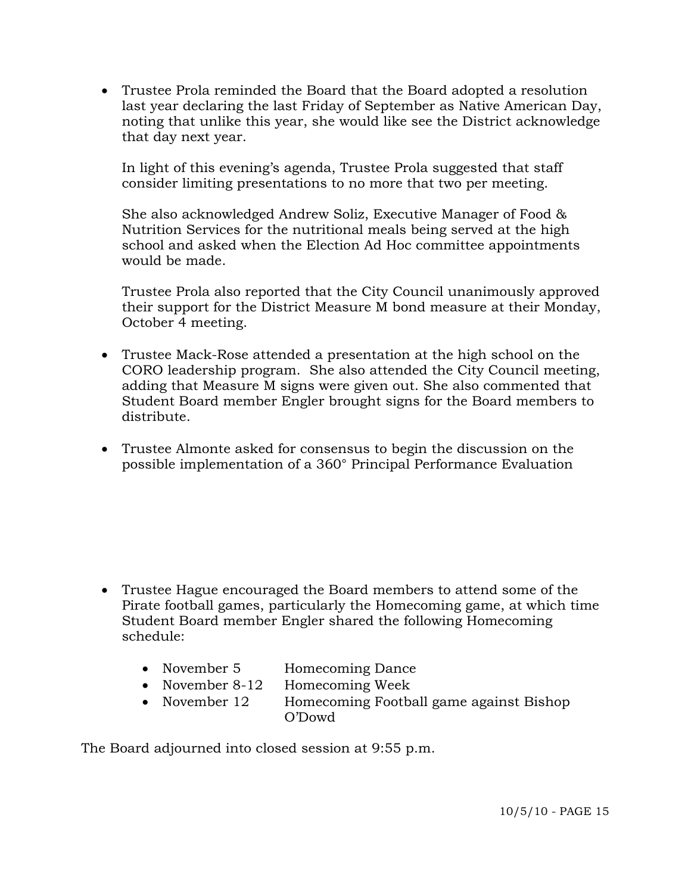Trustee Prola reminded the Board that the Board adopted a resolution last year declaring the last Friday of September as Native American Day, noting that unlike this year, she would like see the District acknowledge that day next year.

In light of this evening's agenda, Trustee Prola suggested that staff consider limiting presentations to no more that two per meeting.

She also acknowledged Andrew Soliz, Executive Manager of Food & Nutrition Services for the nutritional meals being served at the high school and asked when the Election Ad Hoc committee appointments would be made.

Trustee Prola also reported that the City Council unanimously approved their support for the District Measure M bond measure at their Monday, October 4 meeting.

- Trustee Mack-Rose attended a presentation at the high school on the CORO leadership program. She also attended the City Council meeting, adding that Measure M signs were given out. She also commented that Student Board member Engler brought signs for the Board members to distribute.
- Trustee Almonte asked for consensus to begin the discussion on the possible implementation of a 360° Principal Performance Evaluation

- Trustee Hague encouraged the Board members to attend some of the Pirate football games, particularly the Homecoming game, at which time Student Board member Engler shared the following Homecoming schedule:
	- November 5 Homecoming Dance
	- November 8-12 Homecoming Week
	- November 12 Homecoming Football game against Bishop O'Dowd

The Board adjourned into closed session at 9:55 p.m.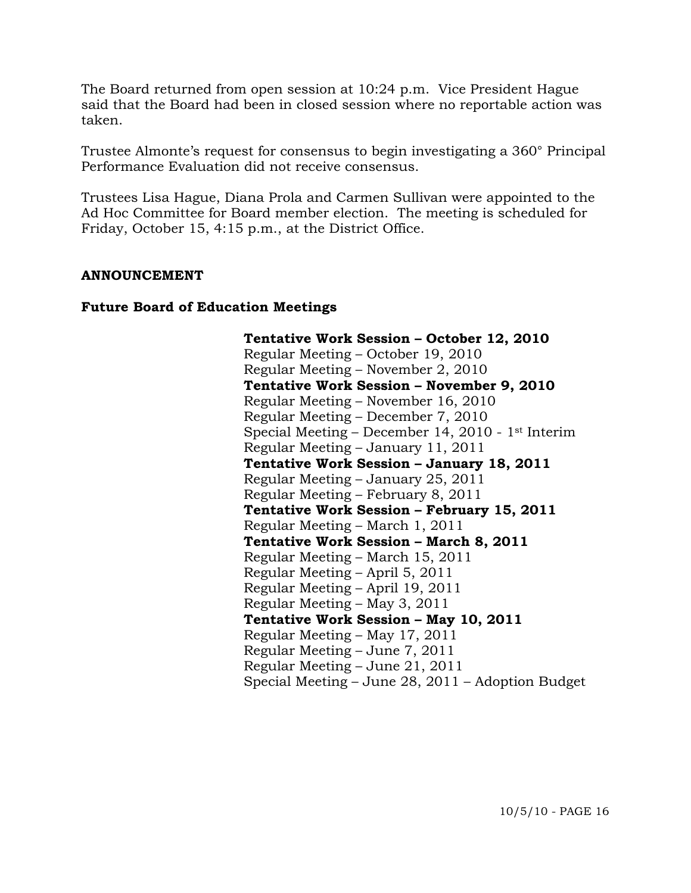The Board returned from open session at 10:24 p.m. Vice President Hague said that the Board had been in closed session where no reportable action was taken.

Trustee Almonte's request for consensus to begin investigating a 360° Principal Performance Evaluation did not receive consensus.

Trustees Lisa Hague, Diana Prola and Carmen Sullivan were appointed to the Ad Hoc Committee for Board member election. The meeting is scheduled for Friday, October 15, 4:15 p.m., at the District Office.

#### **ANNOUNCEMENT**

#### **Future Board of Education Meetings**

 **Tentative Work Session – October 12, 2010**  Regular Meeting – October 19, 2010 Regular Meeting – November 2, 2010  **Tentative Work Session – November 9, 2010**  Regular Meeting – November 16, 2010 Regular Meeting – December 7, 2010 Special Meeting – December 14, 2010 - 1st Interim Regular Meeting – January 11, 2011  **Tentative Work Session – January 18, 2011**  Regular Meeting – January 25, 2011 Regular Meeting – February 8, 2011  **Tentative Work Session – February 15, 2011**  Regular Meeting – March 1, 2011  **Tentative Work Session – March 8, 2011**  Regular Meeting – March 15, 2011 Regular Meeting – April 5, 2011 Regular Meeting – April 19, 2011 Regular Meeting – May 3, 2011  **Tentative Work Session – May 10, 2011**  Regular Meeting – May 17, 2011 Regular Meeting – June 7, 2011 Regular Meeting – June 21, 2011 Special Meeting – June 28, 2011 – Adoption Budget